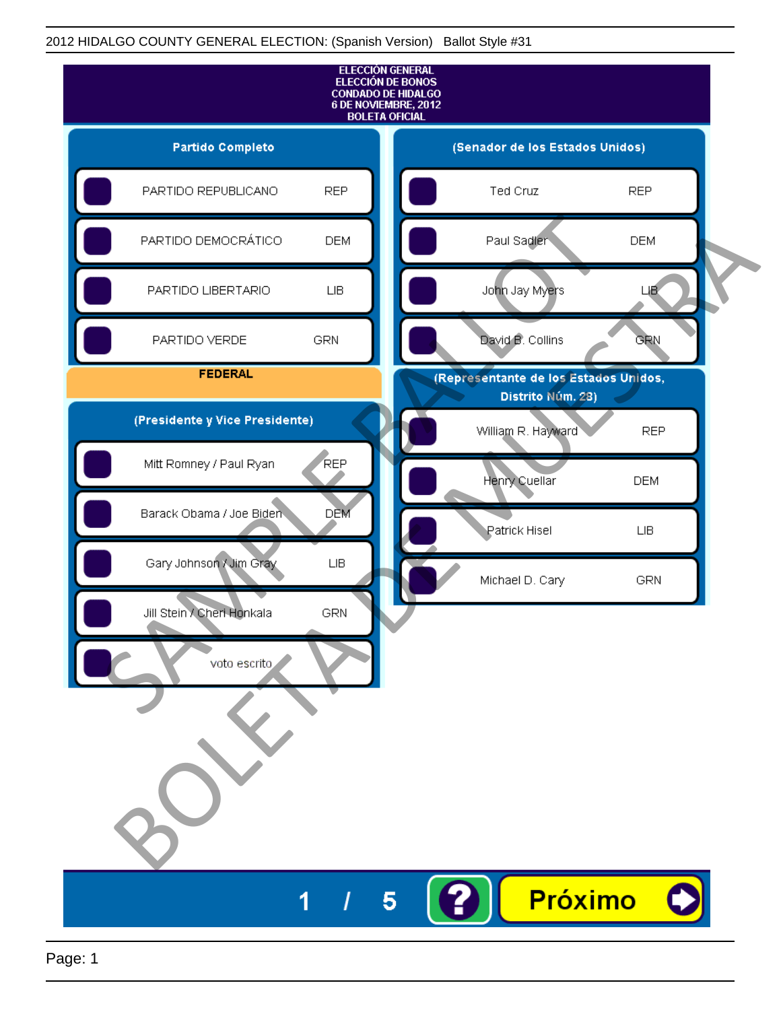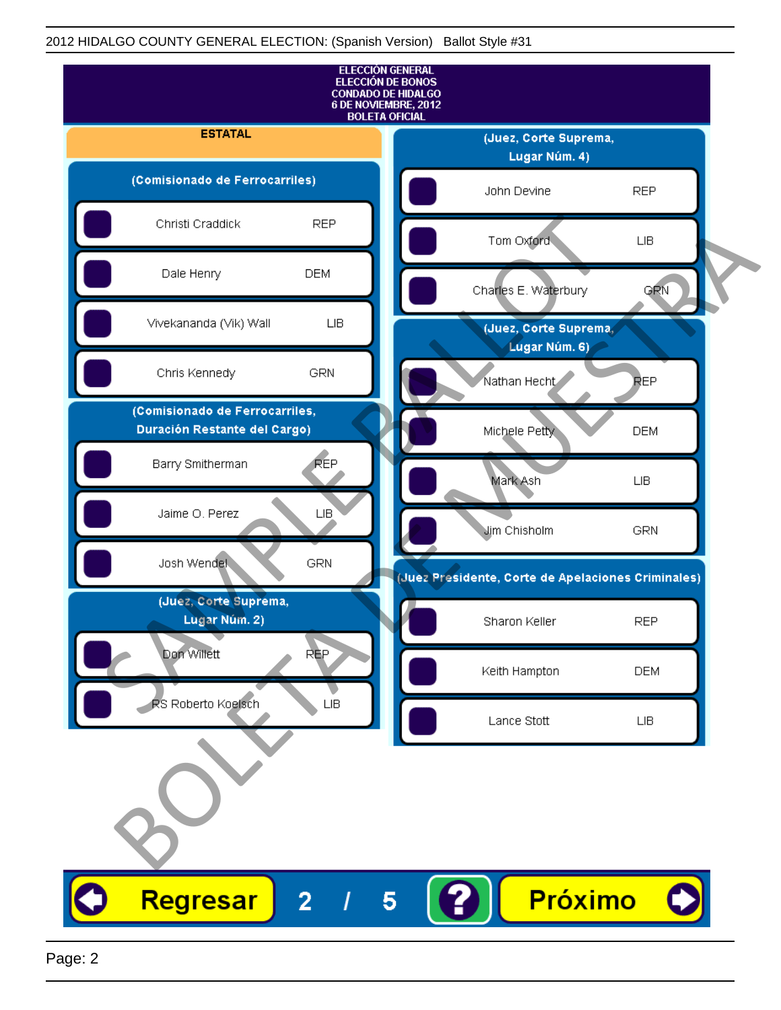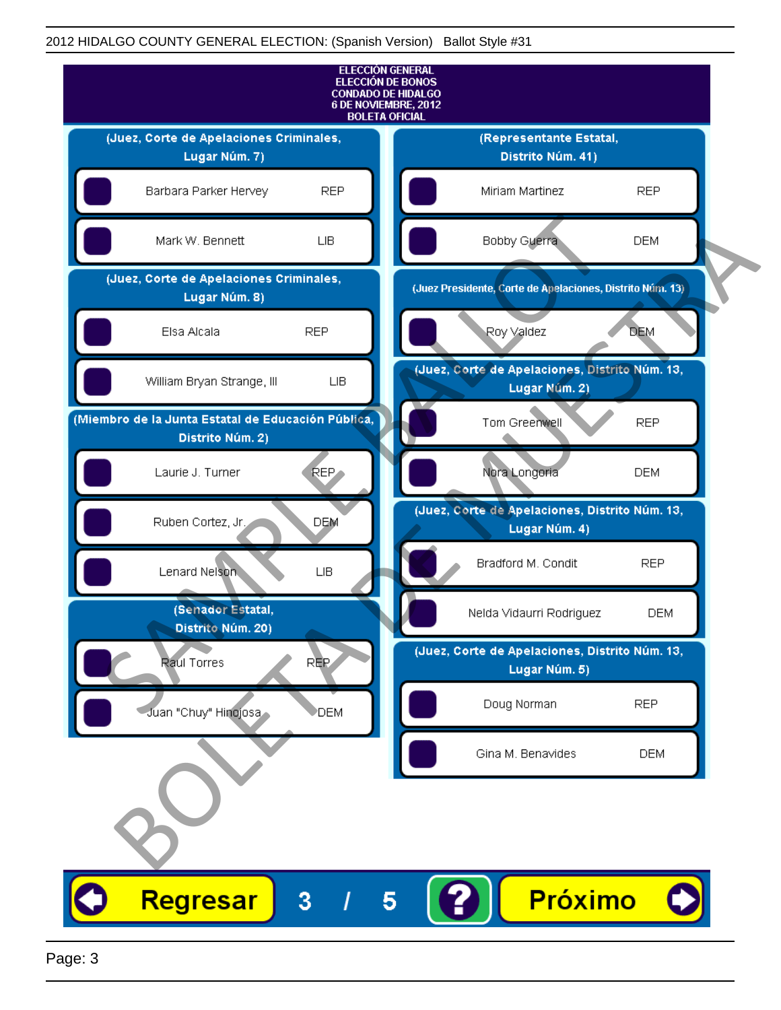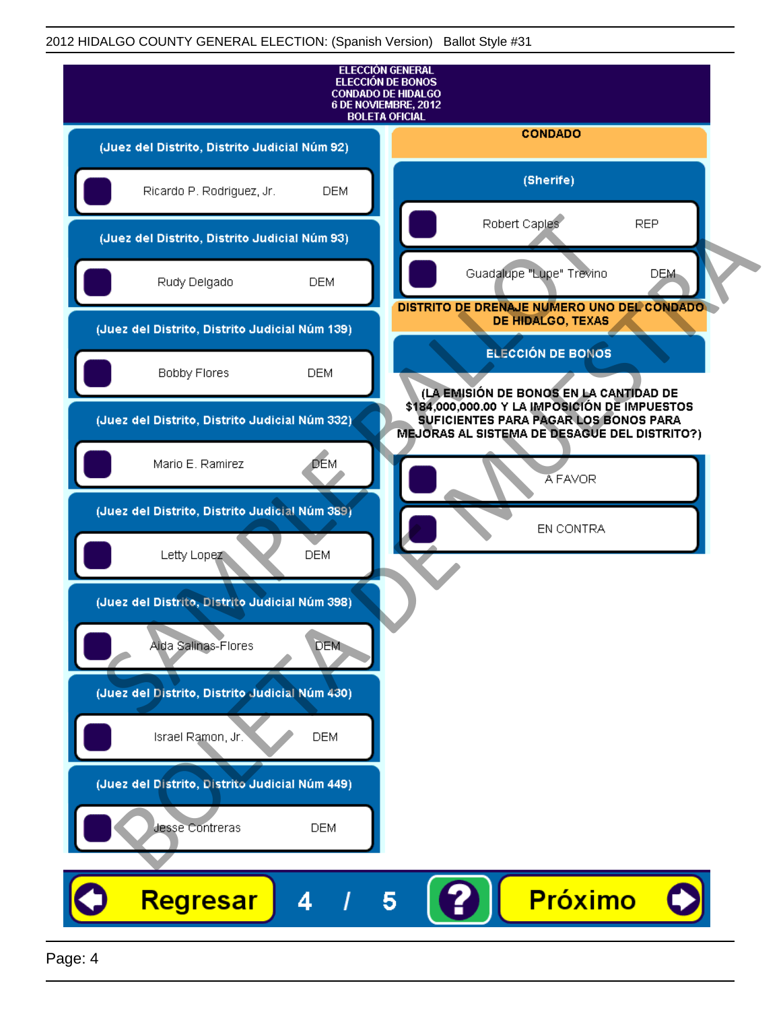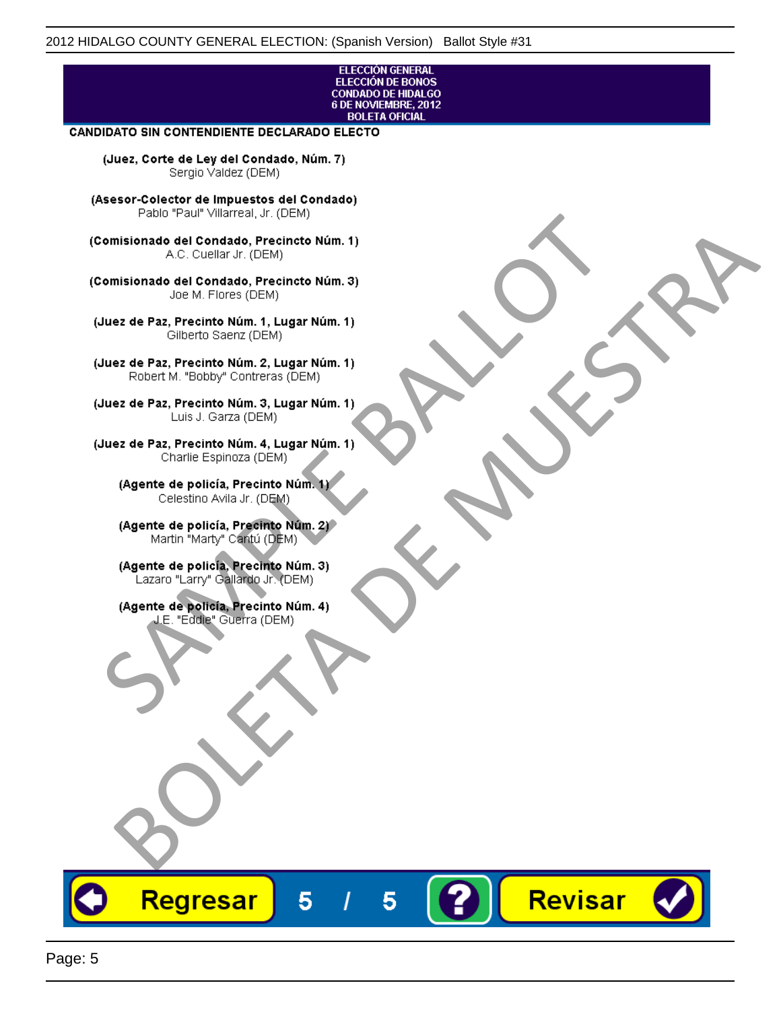## ELECCIÓN GENERAL ELECCIÓN DE BONOS<br>CONDADO DE HIDALGO<br>6 DE NOVIEMBRE, 2012 **BOLETA OFICIAL**

Revisar

## **CANDIDATO SIN CONTENDIENTE DECLARADO ELECTO**

(Juez, Corte de Ley del Condado, Núm. 7) Sergio Valdez (DEM)

(Asesor-Colector de Impuestos del Condado)

Fallo Fall Willdrea, J.I. (DEM)<br>
Consistionado el Condado, Precincto Núm. 1)<br>
A.C. Cuellar Jr. (DEM)<br>
Ullez de Paz, Precinto Núm. 1)<br>
Juez de Paz, Precinto Núm. 1, Lugar Núm. 1)<br>
Gilberto Sentr (DEM)<br>
Robert M. "Bobby" Con misionado del Condiado, Precincto Núm. 1)<br>
Andro del Condiado, Precincto Núm. 3)<br>
ez de Paz, Precinto Núm. 21<br>
algo M. Picer Lo Saerz, Cichi (DEM)<br>
algo M. Picer Lo Saerz, Cichi (DEM)<br>
algo M. Picer Lo Saerz, Cichi (DEM)<br>

Regresar

5

5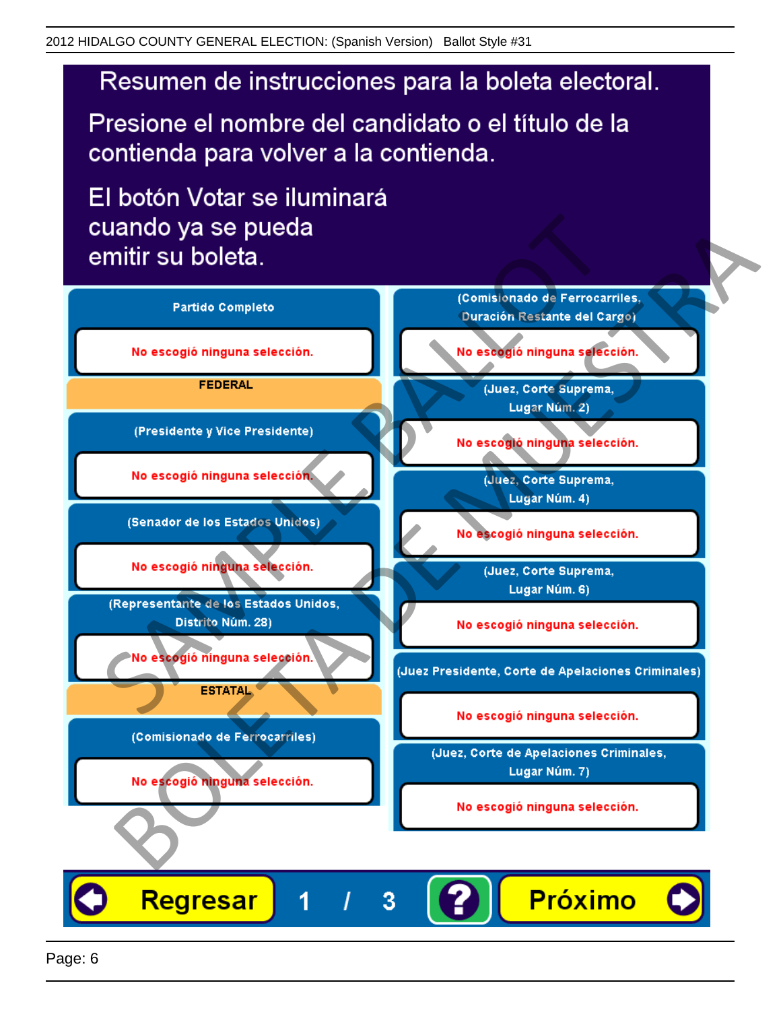# Resumen de instrucciones para la boleta electoral.

Presione el nombre del candidato o el título de la contienda para volver a la contienda.

El botón Votar se iluminará

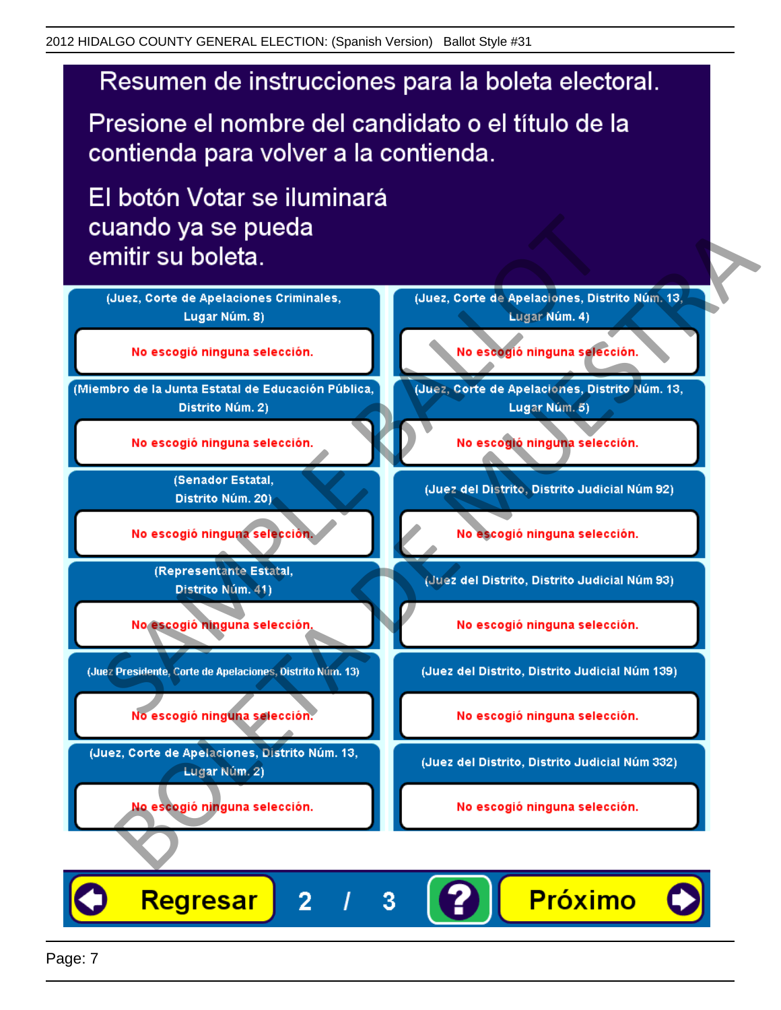# Resumen de instrucciones para la boleta electoral.

Presione el nombre del candidato o el título de la contienda para volver a la contienda.

El botón Votar se iluminará